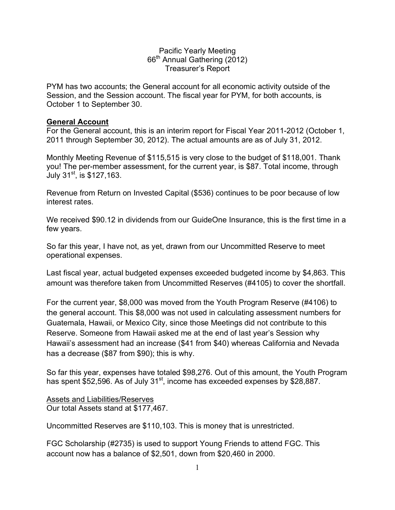Pacific Yearly Meeting 66th Annual Gathering (2012) Treasurer's Report

PYM has two accounts; the General account for all economic activity outside of the Session, and the Session account. The fiscal year for PYM, for both accounts, is October 1 to September 30.

#### **General Account**

For the General account, this is an interim report for Fiscal Year 2011-2012 (October 1, 2011 through September 30, 2012). The actual amounts are as of July 31, 2012.

Monthly Meeting Revenue of \$115,515 is very close to the budget of \$118,001. Thank you! The per-member assessment, for the current year, is \$87. Total income, through July 31<sup>st</sup>, is \$127,163.

Revenue from Return on Invested Capital (\$536) continues to be poor because of low interest rates.

We received \$90.12 in dividends from our GuideOne Insurance, this is the first time in a few years.

So far this year, I have not, as yet, drawn from our Uncommitted Reserve to meet operational expenses.

Last fiscal year, actual budgeted expenses exceeded budgeted income by \$4,863. This amount was therefore taken from Uncommitted Reserves (#4105) to cover the shortfall.

For the current year, \$8,000 was moved from the Youth Program Reserve (#4106) to the general account. This \$8,000 was not used in calculating assessment numbers for Guatemala, Hawaii, or Mexico City, since those Meetings did not contribute to this Reserve. Someone from Hawaii asked me at the end of last year's Session why Hawaii's assessment had an increase (\$41 from \$40) whereas California and Nevada has a decrease (\$87 from \$90); this is why.

So far this year, expenses have totaled \$98,276. Out of this amount, the Youth Program has spent \$52,596. As of July 31<sup>st</sup>, income has exceeded expenses by \$28,887.

Assets and Liabilities/Reserves Our total Assets stand at \$177,467.

Uncommitted Reserves are \$110,103. This is money that is unrestricted.

FGC Scholarship (#2735) is used to support Young Friends to attend FGC. This account now has a balance of \$2,501, down from \$20,460 in 2000.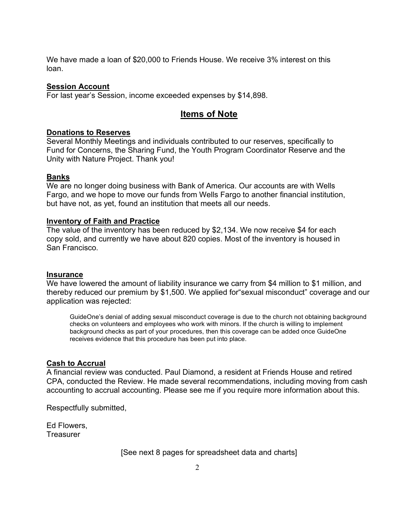We have made a loan of \$20,000 to Friends House. We receive 3% interest on this loan.

#### **Session Account**

For last year's Session, income exceeded expenses by \$14,898.

### **Items of Note**

#### **Donations to Reserves**

Several Monthly Meetings and individuals contributed to our reserves, specifically to Fund for Concerns, the Sharing Fund, the Youth Program Coordinator Reserve and the Unity with Nature Project. Thank you!

#### **Banks**

We are no longer doing business with Bank of America. Our accounts are with Wells Fargo, and we hope to move our funds from Wells Fargo to another financial institution, but have not, as yet, found an institution that meets all our needs.

#### **Inventory of Faith and Practice**

The value of the inventory has been reduced by \$2,134. We now receive \$4 for each copy sold, and currently we have about 820 copies. Most of the inventory is housed in San Francisco.

#### **Insurance**

We have lowered the amount of liability insurance we carry from \$4 million to \$1 million, and thereby reduced our premium by \$1,500. We applied for"sexual misconduct" coverage and our application was rejected:

GuideOne's denial of adding sexual misconduct coverage is due to the church not obtaining background checks on volunteers and employees who work with minors. If the church is willing to implement background checks as part of your procedures, then this coverage can be added once GuideOne receives evidence that this procedure has been put into place.

#### **Cash to Accrual**

A financial review was conducted. Paul Diamond, a resident at Friends House and retired CPA, conducted the Review. He made several recommendations, including moving from cash accounting to accrual accounting. Please see me if you require more information about this.

Respectfully submitted,

Ed Flowers, **Treasurer** 

[See next 8 pages for spreadsheet data and charts]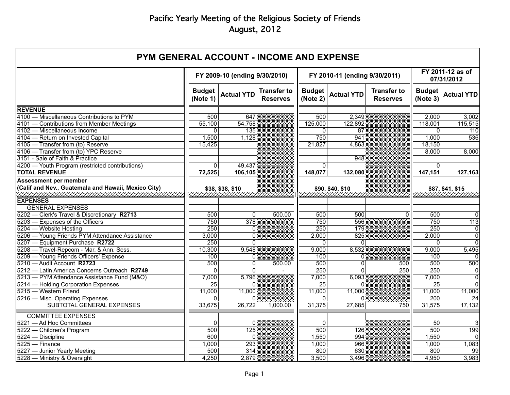| <b>PYM GENERAL ACCOUNT - INCOME AND EXPENSE</b>               |                               |                               |                                       |                               |                   |                                       |                                |                       |
|---------------------------------------------------------------|-------------------------------|-------------------------------|---------------------------------------|-------------------------------|-------------------|---------------------------------------|--------------------------------|-----------------------|
|                                                               | FY 2009-10 (ending 9/30/2010) |                               |                                       | FY 2010-11 (ending 9/30/2011) |                   |                                       | FY 2011-12 as of<br>07/31/2012 |                       |
|                                                               | <b>Budget</b><br>(Note 1)     | <b>Actual YTD</b>             | <b>Transfer to</b><br><b>Reserves</b> | <b>Budget</b><br>(Note 2)     | <b>Actual YTD</b> | <b>Transfer to</b><br><b>Reserves</b> | <b>Budget</b><br>(Note 3)      | <b>Actual YTD</b>     |
| <b>REVENUE</b>                                                |                               |                               |                                       |                               |                   |                                       |                                |                       |
| 4100 - Miscellaneous Contributions to PYM                     | 500                           | 647                           |                                       | 500                           | 2,349             |                                       | 2,000                          | 3,002                 |
| 4101 - Contributions from Member Meetings                     | 55,100                        | 54,758                        |                                       | 125,000                       | 122,892           |                                       | 118,001                        | 115,515               |
| 4102 - Miscellaneous Income                                   | 0                             | 135                           |                                       | 0                             | 87                |                                       | $\Omega$                       | 110                   |
| 4104 - Return on Invested Capital                             | 1,500                         | 1,128                         |                                       | 750                           | 941               |                                       | 1,000                          | 536                   |
| 4105 - Transfer from (to) Reserve                             | 15,425                        |                               |                                       | 21,827                        | 4,863             |                                       | 18,150                         |                       |
| 4106 - Transfer from (to) YPC Reserve                         |                               |                               |                                       |                               |                   |                                       | 8,000                          | 8,000                 |
| 3151 - Sale of Faith & Practice                               |                               |                               |                                       |                               | 948               |                                       |                                |                       |
| 4200 - Youth Program (restricted contributions)               | $\Omega$                      | 49,437                        |                                       | $\Omega$                      |                   |                                       | $\Omega$                       |                       |
| <b>TOTAL REVENUE</b>                                          | 72,525                        | 106,105                       |                                       | 148,077                       | 132,080           |                                       | 147,151                        | 127,163               |
| Assessment per member                                         |                               |                               |                                       |                               |                   |                                       |                                |                       |
| (Calif and Nev., Guatemala and Hawaii, Mexico City)           |                               | \$38, \$38, \$10              |                                       |                               | \$90, \$40, \$10  |                                       |                                | \$87, \$41, \$15      |
|                                                               |                               | <u>IIIIIIIIIIIIIIIIIIIIII</u> |                                       |                               |                   |                                       |                                | <u> AMMANAMANAMAN</u> |
| <i>Уландардардардарда жарашылдарда башканда.</i><br> EXPENSES |                               |                               |                                       |                               |                   |                                       |                                |                       |
| <b>GENERAL EXPENSES</b>                                       |                               |                               |                                       |                               |                   |                                       |                                |                       |
| 5202 - Clerk's Travel & Discretionary R2713                   | 500                           | 0                             | 500.00                                | 500                           | 500               | $\Omega$                              | 500                            | $\Omega$              |
| 5203 - Expenses of the Officers                               | 750                           | $\overline{378}$              |                                       | 750                           | 556               |                                       | 750                            | $\overline{113}$      |
| 5204 - Website Hosting                                        | 250                           | 0                             |                                       | $\overline{250}$              | 179               |                                       | 250                            | $\overline{0}$        |
| 5206 - Young Friends PYM Attendance Assistance                | 3,000                         | 0                             |                                       | 2,000                         | 825               |                                       | 2,000                          | $\overline{0}$        |
| 5207 - Equipment Purchase R2722                               | 250                           | 0                             |                                       | $\mathbf 0$                   | 0                 |                                       | 0                              | $\overline{0}$        |
| 5208 - Travel-Repcom - Mar. & Ann. Sess.                      | 10,300                        | 9,548                         |                                       | 9,000                         | 8,532             |                                       | 9,000                          | 5,495                 |
| 5209 - Young Friends Officers' Expense                        | 100                           | 0                             |                                       | 100                           | 0                 |                                       | 100                            |                       |
| 5210 - Audit Account R2723                                    | 500                           | 0                             | 500.00                                | 500                           | 0                 | 500                                   | 500                            | 500                   |
| 5212 - Latin America Concerns Outreach R2749                  | $\Omega$                      | $\Omega$                      |                                       | 250                           | $\Omega$          | 250                                   | 250                            | $\overline{\text{o}}$ |
| 5213 - PYM Attendance Assistance Fund (M&O)                   | 7,000                         | 5,796                         |                                       | 7,000                         | 6,093             |                                       | 7,000                          | $\overline{0}$        |
| 5214 - Holding Corporation Expenses                           | $\overline{25}$               | 0                             |                                       | $\overline{25}$               | 0                 |                                       | $\overline{25}$                | $\Omega$              |
| 5215 - Western Friend                                         | 11,000                        | 11,000                        |                                       | 11,000                        | 11,000            |                                       | 11,000                         | 11,000                |
| 5216 - Misc. Operating Expenses                               | $\Omega$                      |                               |                                       | $\Omega$                      |                   |                                       | 200                            | 24                    |
| SUBTOTAL GENERAL EXPENSES                                     | 33,675                        | 26,722                        | 1,000.00                              | 31,375                        | 27,685            | 750                                   | 31,575                         | 17,132                |
| <b>COMMITTEE EXPENSES</b>                                     |                               |                               |                                       |                               |                   |                                       |                                |                       |
| 5221 - Ad Hoc Committees                                      | $\Omega$                      | $\Omega$                      |                                       | $\mathbf{0}$                  |                   |                                       | 50                             | 3                     |
| 5222 - Children's Program                                     | 500                           | 125                           |                                       | 500                           | 126               |                                       | 500                            | 199                   |
| $5224 - Discpline$                                            | 600                           | 0                             |                                       | 1,550                         | 994               |                                       | 1,550                          | $\overline{0}$        |
| $5225 -$ Finance                                              | 1,000                         | 293                           |                                       | 1,000                         | 966               |                                       | 1,000                          | 1,083                 |
| 5227 - Junior Yearly Meeting                                  | 500                           | $\overline{314}$              |                                       | 800                           | 630               |                                       | 800                            | 99                    |
| 5228 - Ministry & Oversight                                   | 4,250                         | 2,879                         |                                       | 3,500                         | 3,496             |                                       | 4,950                          | 3,983                 |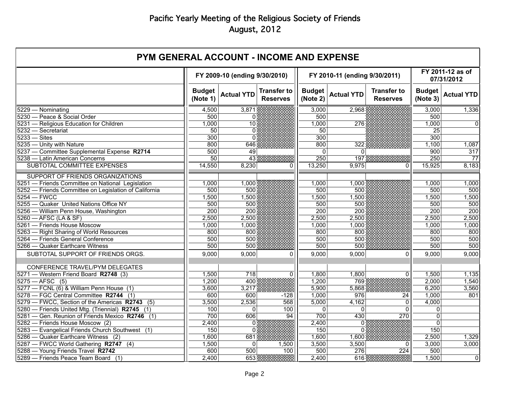| <b>PYM GENERAL ACCOUNT - INCOME AND EXPENSE</b>       |                               |                   |                                       |                               |                   |                                       |                                |                   |
|-------------------------------------------------------|-------------------------------|-------------------|---------------------------------------|-------------------------------|-------------------|---------------------------------------|--------------------------------|-------------------|
|                                                       | FY 2009-10 (ending 9/30/2010) |                   |                                       | FY 2010-11 (ending 9/30/2011) |                   |                                       | FY 2011-12 as of<br>07/31/2012 |                   |
|                                                       | <b>Budget</b><br>(Note 1)     | <b>Actual YTD</b> | <b>Transfer to</b><br><b>Reserves</b> | <b>Budget</b><br>(Note 2)     | <b>Actual YTD</b> | <b>Transfer to</b><br><b>Reserves</b> | <b>Budget</b><br>(Note 3)      | <b>Actual YTD</b> |
| 5229 - Nominating                                     | 4,500                         | 3,871             |                                       | 3,000                         | 2,968             |                                       | 3,000                          | 1,336             |
| 5230 - Peace & Social Order                           | 500                           | 0                 |                                       | 500                           |                   |                                       | 500                            |                   |
| 5231 - Religious Education for Children               | 1,000                         | $\overline{10}$   |                                       | 1,000                         | $\overline{276}$  |                                       | 1,000                          | $\overline{0}$    |
| 5232 - Secretariat                                    | 50                            | $\Omega$          |                                       | 50                            |                   |                                       | $\overline{25}$                |                   |
| $5233 -$ Sites                                        | 300                           | 0                 |                                       | 300                           |                   |                                       | 300                            |                   |
| 5235 - Unity with Nature                              | 800                           | 646               |                                       | 800                           | 322               |                                       | 1,100                          | 1,087             |
| 5237 - Committee Supplemental Expense R2714           | 500                           | 49                |                                       | 0                             | $\Omega$          |                                       | 900                            | $\overline{317}$  |
| 5238 - Latin American Concerns                        | $\overline{50}$               | $\overline{43}$   |                                       | 250                           | $\overline{197}$  |                                       | 250                            | $\overline{77}$   |
| SUBTOTAL COMMITTEE EXPENSES                           | 14,550                        | 8,230             | 0                                     | 13,250                        | 9,975             | 0                                     | 15,925                         | 8,183             |
| SUPPORT OF FRIENDS ORGANIZATIONS                      |                               |                   |                                       |                               |                   |                                       |                                |                   |
| 5251 - Friends Committee on National Legislation      | 1,000                         | 1,000             |                                       | 1,000                         | 1,000             |                                       | 1,000                          | 1,000             |
| 5252 - Friends Committee on Legislation of California | 500                           | 500               |                                       | 500                           | 500               |                                       | 500                            | 500               |
| $5254 - FWCC$                                         | 1,500                         | 1,500             |                                       | 1,500                         | 1,500             |                                       | 1,500                          | 1,500             |
| 5255 - Quaker United Nations Office NY                | 500                           | 500               |                                       | 500                           | 500               |                                       | 500                            | 500               |
| 5256 - William Penn House, Washington                 | 200                           | 200               |                                       | 200                           | 200               |                                       | 200                            | 200               |
| 5260 - AFSC (LA & SF)                                 | 2,500                         | 2,500             |                                       | 2,500                         | 2,500             |                                       | 2,500                          | 2,500             |
| 5261 - Friends House Moscow                           | 1,000                         | 1,000             |                                       | 1,000                         | 1,000             |                                       | 1,000                          | 1,000             |
| 5263 - Right Sharing of World Resources               | 800                           | 800               |                                       | 800                           | 800               |                                       | 800                            | 800               |
| 5264 - Friends General Conference                     | 500                           | 500               |                                       | 500                           | 500               |                                       | 500                            | 500               |
| 5266 - Quaker Earthcare Witness                       | 500                           | 500               |                                       | 500                           | 500               |                                       | 500                            | 500               |
| SUBTOTAL SUPPORT OF FRIENDS ORGS.                     | 9,000                         | 9,000             | $\Omega$                              | 9,000                         | 9,000             | $\Omega$                              | 9,000                          | 9,000             |
| CONFERENCE TRAVEL/PYM DELEGATES                       |                               |                   |                                       |                               |                   |                                       |                                |                   |
| 5271 - Western Friend Board R2748 (3)                 | 1,500                         | 718               | $\overline{0}$                        | 1,800                         | 1,800             | 0                                     | 1,500                          | 1,135             |
| $5275 - AFSC$ (5)                                     | 1,200                         | 400               |                                       | 1,200                         | 769               |                                       | 2,000                          | 1,540             |
| 5277 - FCNL (6) & William Penn House (1)              | 3,600                         | 3,217             |                                       | 5,900                         | 5,868             |                                       | 6,200                          | 3,560             |
| 5278 - FGC Central Committee R2744 (1)                | 600                           | 600               | $-128$                                | 1,000                         | 976               | 24                                    | 1,000                          | 801               |
| 5279 - FWCC, Section of the Americas R2743 (5)        | 3,500                         | 2,536             | 568                                   | 5,000                         | 4,162             | $\overline{0}$                        | 4,000                          |                   |
| 5280 - Friends United Mtg. (Triennial) R2745 (1)      | 100                           | 0                 | 100                                   | $\Omega$                      | $\Omega$          | $\overline{0}$                        | 0                              |                   |
| 5281 - Gen. Reunion of Friends Mexico R2746 (1)       | 700                           | 606               | 94                                    | 700                           | 430               | 270                                   | $\Omega$                       |                   |
| 5282 - Friends House Moscow (2)                       | 2,400                         | $\Omega$          |                                       | 2,400                         | $\Omega$          |                                       | $\mathbf{0}$                   |                   |
| 5283 - Evangelical Friends Church Southwest (1)       | 150                           | U                 |                                       | 150                           | $\Omega$          |                                       | 150                            |                   |
| 5286 — Quaker Earthcare Witness (2)                   | 1,600                         | 681               |                                       | 1,600                         | 1,600             |                                       | 2,500                          | 1,329             |
| 5287 - FWCC World Gathering R2747 (4)                 | 1,500                         | 0                 | 1,500                                 | 3,500                         | 3,500             | 0                                     | 3,000                          | 3,000             |
| 5288 - Young Friends Travel R2742                     | 600                           | 500               | 100                                   | 500                           | $\overline{276}$  | 224                                   | 500                            |                   |
| 5289 - Friends Peace Team Board (1)                   | 2,400                         | 653               |                                       | 2,400                         | 616               |                                       | 1,500                          | $\overline{0}$    |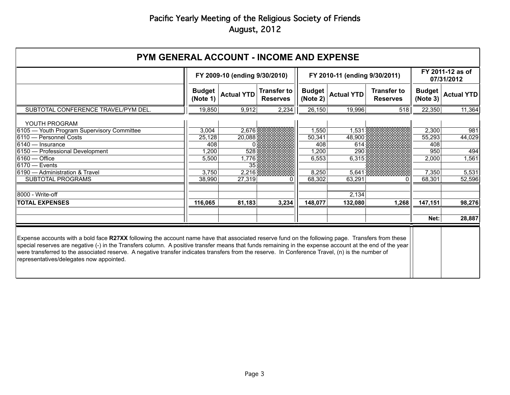| <b>PYM GENERAL ACCOUNT - INCOME AND EXPENSE</b>                                                                                                                                                                                                                                                                                                                                                                                                                                                             |                               |                   |                                       |                           |                               |                                       |                           |                   |
|-------------------------------------------------------------------------------------------------------------------------------------------------------------------------------------------------------------------------------------------------------------------------------------------------------------------------------------------------------------------------------------------------------------------------------------------------------------------------------------------------------------|-------------------------------|-------------------|---------------------------------------|---------------------------|-------------------------------|---------------------------------------|---------------------------|-------------------|
|                                                                                                                                                                                                                                                                                                                                                                                                                                                                                                             | FY 2009-10 (ending 9/30/2010) |                   |                                       |                           | FY 2010-11 (ending 9/30/2011) | FY 2011-12 as of<br>07/31/2012        |                           |                   |
|                                                                                                                                                                                                                                                                                                                                                                                                                                                                                                             | <b>Budget</b><br>(Note 1)     | <b>Actual YTD</b> | <b>Transfer to</b><br><b>Reserves</b> | <b>Budget</b><br>(Note 2) | <b>Actual YTD</b>             | <b>Transfer to</b><br><b>Reserves</b> | <b>Budget</b><br>(Note 3) | <b>Actual YTD</b> |
| SUBTOTAL CONFERENCE TRAVEL/PYM DEL.                                                                                                                                                                                                                                                                                                                                                                                                                                                                         | 19,850                        | 9,912             | 2,234                                 | 26,150                    | 19,996                        | 518                                   | 22,350                    | 11,364            |
| YOUTH PROGRAM                                                                                                                                                                                                                                                                                                                                                                                                                                                                                               |                               |                   |                                       |                           |                               |                                       |                           |                   |
| 6105 - Youth Program Supervisory Committee                                                                                                                                                                                                                                                                                                                                                                                                                                                                  | 3,004                         | 2,676             |                                       | 1,550                     | 1,531                         |                                       | 2,300                     | 981               |
| 6110 — Personnel Costs                                                                                                                                                                                                                                                                                                                                                                                                                                                                                      | 25,128                        | 20.088            |                                       | 50,341                    | 48.900                        |                                       | 55,293                    | 44,029            |
| $6140 -$ Insurance                                                                                                                                                                                                                                                                                                                                                                                                                                                                                          | 408                           | <sup>0</sup>      |                                       | 408                       | 614                           |                                       | 408                       |                   |
| 6150 - Professional Development                                                                                                                                                                                                                                                                                                                                                                                                                                                                             | 1,200                         | 528               |                                       | 1,200                     | 290                           |                                       | 950                       | 494               |
| 16160 — Office                                                                                                                                                                                                                                                                                                                                                                                                                                                                                              | 5,500                         | 1.776             |                                       | 6,553                     | 6.315                         |                                       | 2,000                     | 1,561             |
| $6170 -$ Events                                                                                                                                                                                                                                                                                                                                                                                                                                                                                             |                               | 35                |                                       |                           |                               |                                       |                           |                   |
| 6190 - Administration & Travel                                                                                                                                                                                                                                                                                                                                                                                                                                                                              | 3,750                         | 2,216             |                                       | 8,250                     | 5,641                         |                                       | 7,350                     | 5,531             |
| <b>SUBTOTAL PROGRAMS</b>                                                                                                                                                                                                                                                                                                                                                                                                                                                                                    | 38,990                        | 27,319            | 0                                     | 68,302                    | 63,291                        | ი                                     | 68,301                    | 52,596            |
| 18000 - Write-off                                                                                                                                                                                                                                                                                                                                                                                                                                                                                           |                               |                   |                                       |                           | 2,134                         |                                       |                           |                   |
|                                                                                                                                                                                                                                                                                                                                                                                                                                                                                                             |                               |                   |                                       |                           |                               |                                       |                           |                   |
| <b>TOTAL EXPENSES</b>                                                                                                                                                                                                                                                                                                                                                                                                                                                                                       | 116,065                       | 81,183            | 3,234                                 | 148,077                   | 132,080                       | 1,268                                 | 147,151                   | 98,276            |
|                                                                                                                                                                                                                                                                                                                                                                                                                                                                                                             |                               |                   |                                       |                           |                               |                                       | Net:                      | 28,887            |
|                                                                                                                                                                                                                                                                                                                                                                                                                                                                                                             |                               |                   |                                       |                           |                               |                                       |                           |                   |
| Expense accounts with a bold face R27XX following the account name have that associated reserve fund on the following page. Transfers from these<br>special reserves are negative (-) in the Transfers column. A positive transfer means that funds remaining in the expense account at the end of the year<br>were transferred to the associated reserve. A negative transfer indicates transfers from the reserve. In Conference Travel, (n) is the number of<br>representatives/delegates now appointed. |                               |                   |                                       |                           |                               |                                       |                           |                   |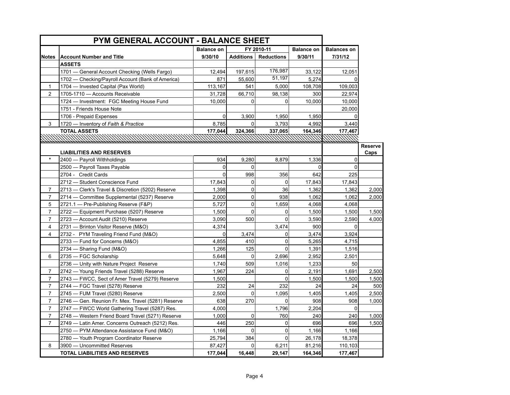| PYM GENERAL ACCOUNT - BALANCE SHEET |                                                    |                   |                                 |                   |          |                    |                |
|-------------------------------------|----------------------------------------------------|-------------------|---------------------------------|-------------------|----------|--------------------|----------------|
|                                     |                                                    | <b>Balance on</b> | FY 2010-11<br><b>Balance on</b> |                   |          | <b>Balances on</b> |                |
| <b>Notes</b>                        | <b>Account Number and Title</b>                    | 9/30/10           | <b>Additions</b>                | <b>Reductions</b> | 9/30/11  | 7/31/12            |                |
|                                     | <b>ASSETS</b>                                      |                   |                                 |                   |          |                    |                |
|                                     | 1701 - General Account Checking (Wells Fargo)      | 12,494            | 197,615                         | 176,987           | 33,122   | 12,051             |                |
|                                     | 1702 - Checking/Payroll Account (Bank of America)  | 871               | 55,600                          | 51,197            | 5,274    |                    |                |
| $\mathbf{1}$                        | 1704 - Invested Capital (Pax World)                | 113,167           | 541                             | 5,000             | 108,708  | 109,003            |                |
| 2                                   | 1705-1710 - Accounts Receivable                    | 31,728            | 66,710                          | 98,138            | 300      | 22,974             |                |
|                                     | 1724 - Investment: FGC Meeting House Fund          | 10,000            | $\Omega$                        | 0                 | 10,000   | 10,000             |                |
|                                     | 1751 - Friends House Note                          |                   |                                 |                   |          | 20,000             |                |
|                                     | 1706 - Prepaid Expenses                            | $\mathbf 0$       | 3,900                           | 1,950             | 1,950    | $\Omega$           |                |
| 3                                   | 1720 - Inventory of Faith & Practice               | 8,785             | $\Omega$                        | 3,793             | 4,992    | 3,440              |                |
|                                     | <b>TOTAL ASSETS</b>                                | 177,044           | 324,366                         | 337,065           | 164,346  | 177,467            |                |
|                                     |                                                    |                   |                                 |                   |          |                    |                |
|                                     |                                                    |                   |                                 |                   |          |                    | <b>Reserve</b> |
|                                     | <b>LIABILITIES AND RESERVES</b>                    |                   |                                 |                   |          |                    | Caps           |
|                                     | 2400 - Payroll Withholdings                        | 934               | 9,280                           | 8,879             | 1,336    | $\Omega$           |                |
|                                     | 2500 - Payroll Taxes Payable                       | 0                 | $\Omega$                        |                   | $\Omega$ | $\Omega$           |                |
|                                     | 2704 - Credit Cards                                | $\overline{0}$    | 998                             | 356               | 642      | 225                |                |
|                                     | 2712 - Student Conscience Fund                     | 17,843            | 0                               | $\mathbf 0$       | 17,843   | 17,843             |                |
| 7                                   | 2713 - Clerk's Travel & Discretion (5202) Reserve  | 1,398             | 0                               | 36                | 1,362    | 1,362              | 2,000          |
| $\overline{7}$                      | 2714 - Committee Supplemental (5237) Reserve       | 2,000             | 0                               | 938               | 1,062    | 1,062              | 2,000          |
| 5                                   | 2721.1 - Pre-Publishing Reserve (F&P)              | 5,727             | 0                               | 1,659             | 4,068    | 4,068              |                |
| $\overline{7}$                      | 2722 - Equipment Purchase (5207) Reserve           | 1,500             | 0                               | $\mathbf 0$       | 1,500    | 1,500              | 1,500          |
| $\overline{7}$                      | 2723 - Account Audit (5210) Reserve                | 3,090             | 500                             | $\overline{0}$    | 3,590    | 2,590              | 4,000          |
| $\overline{4}$                      | 2731 - Brinton Visitor Reserve (M&O)               | 4,374             |                                 | 3,474             | 900      | $\mathbf{0}$       |                |
| $\overline{4}$                      | 2732 - PYM Traveling Friend Fund (M&O)             | 0                 | 3,474                           | $\mathbf 0$       | 3,474    | 3,924              |                |
|                                     | 2733 - Fund for Concerns (M&O)                     | 4,855             | 410                             | 0                 | 5,265    | 4,715              |                |
|                                     | 2734 - Sharing Fund (M&O)                          | 1,266             | 125                             | 0                 | 1,391    | 1,516              |                |
| 6                                   | 2735 - FGC Scholarship                             | 5,648             | $\mathbf 0$                     | 2,696             | 2,952    | 2,501              |                |
|                                     | 2736 - Unity with Nature Project Reserve           | 1,740             | 509                             | 1,016             | 1,233    | 50                 |                |
| 7                                   | 2742 - Young Friends Travel (5288) Reserve         | 1,967             | 224                             | 0                 | 2,191    | 1,691              | 2,500          |
| $\overline{7}$                      | 2743 – FWCC, Sect of Amer Travel (5279) Reserve    | 1,500             |                                 | 0                 | 1,500    | 1,500              | 1,500          |
| $\overline{7}$                      | 2744 - FGC Travel (5278) Reserve                   | 232               | 24                              | 232               | 24       | 24                 | 500            |
| $\overline{7}$                      | 2745 - FUM Travel (5280) Reserve                   | 2,500             | 0                               | 1,095             | 1,405    | 1,405              | 2,500          |
| $\overline{7}$                      | 2746 - Gen. Reunion Fr. Mex. Travel (5281) Reserve | 638               | 270                             | 0                 | 908      | 908                | 1,000          |
| $\overline{7}$                      | 2747 - FWCC World Gathering Travel (5287) Res.     | 4,000             |                                 | 1,796             | 2,204    | $\mathbf 0$        |                |
| $\overline{7}$                      | 2748 – Western Friend Board Travel (5271) Reserve  | 1,000             | $\mathbf 0$                     | 760               | 240      | 240                | 1,000          |
| $\overline{7}$                      | 2749 — Latin Amer. Concerns Outreach (5212) Res.   | 446               | 250                             | 0                 | 696      | 696                | 1,500          |
|                                     | 2750 - PYM Attendance Assistance Fund (M&O)        | 1,166             | $\Omega$                        | 0                 | 1,166    | 1,166              |                |
|                                     | 2780 - Youth Program Coordinator Reserve           | 25,794            | 384                             | $\mathbf 0$       | 26,178   | 18,378             |                |
| 8                                   | 3900 - Uncommitted Reserves                        | 87,427            | 0                               | 6,211             | 81,216   | 110,103            |                |
|                                     | TOTAL LIABILITIES AND RESERVES                     | 177,044           | 16,448                          | 29,147            | 164,346  | 177,467            |                |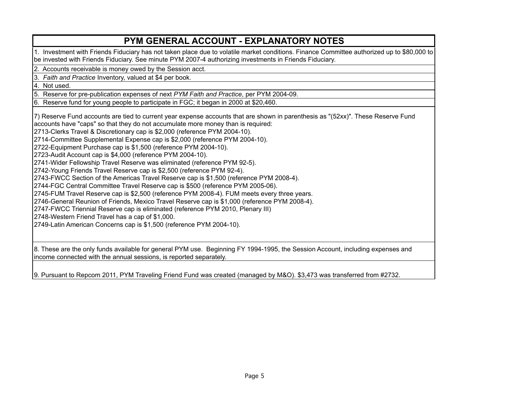#### 4. Not used. 5. Reserve for pre-publication expenses of next *PYM Faith and Practice*, per PYM 2004-09. **PYM GENERAL ACCOUNT - EXPLANATORY NOTES** 1. Investment with Friends Fiduciary has not taken place due to volatile market conditions. Finance Committee authorized up to \$80,000 to be invested with Friends Fiduciary. See minute PYM 2007-4 authorizing investments in Friends Fiduciary. 2. Accounts receivable is money owed by the Session acct. 3. *Faith and Practice* Inventory, valued at \$4 per book. 6. Reserve fund for young people to participate in FGC; it began in 2000 at \$20,460. 7) Reserve Fund accounts are tied to current year expense accounts that are shown in parenthesis as "(52xx)". These Reserve Fund accounts have "caps" so that they do not accumulate more money than is required: 2713-Clerks Travel & Discretionary cap is \$2,000 (reference PYM 2004-10). 2714-Committee Supplemental Expense cap is \$2,000 (reference PYM 2004-10). 2722-Equipment Purchase cap is \$1,500 (reference PYM 2004-10). 2723-Audit Account cap is \$4,000 (reference PYM 2004-10). 2741-Wider Fellowship Travel Reserve was eliminated (reference PYM 92-5). 2742-Young Friends Travel Reserve cap is \$2,500 (reference PYM 92-4). 2743-FWCC Section of the Americas Travel Reserve cap is \$1,500 (reference PYM 2008-4). 2744-FGC Central Committee Travel Reserve cap is \$500 (reference PYM 2005-06). 2745-FUM Travel Reserve cap is \$2,500 (reference PYM 2008-4). FUM meets every three years. 2746-General Reunion of Friends, Mexico Travel Reserve cap is \$1,000 (reference PYM 2008-4). 2747-FWCC Triennial Reserve cap is eliminated (reference PYM 2010, Plenary III) 2748-Western Friend Travel has a cap of \$1,000. 2749-Latin American Concerns cap is \$1,500 (reference PYM 2004-10).

8. These are the only funds available for general PYM use. Beginning FY 1994-1995, the Session Account, including expenses and income connected with the annual sessions, is reported separately.

9. Pursuant to Repcom 2011, PYM Traveling Friend Fund was created (managed by M&O). \$3,473 was transferred from #2732.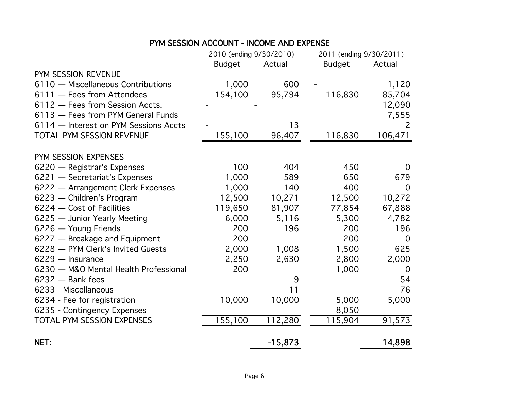### PYM SESSION ACCOUNT - INCOME AND EXPENSE

|                                       | 2010 (ending 9/30/2010) |           | 2011 (ending 9/30/2011) |              |
|---------------------------------------|-------------------------|-----------|-------------------------|--------------|
|                                       | <b>Budget</b>           | Actual    | <b>Budget</b>           | Actual       |
| PYM SESSION REVENUE                   |                         |           |                         |              |
| 6110 - Miscellaneous Contributions    | 1,000                   | 600       |                         | 1,120        |
| 6111 - Fees from Attendees            | 154,100                 | 95,794    | 116,830                 | 85,704       |
| 6112 - Fees from Session Accts.       |                         |           |                         | 12,090       |
| 6113 - Fees from PYM General Funds    |                         |           |                         | 7,555        |
| 6114 - Interest on PYM Sessions Accts |                         | 13        |                         | $\mathsf{2}$ |
| TOTAL PYM SESSION REVENUE             | 155,100                 | 96,407    | 116,830                 | 106,471      |
| PYM SESSION EXPENSES                  |                         |           |                         |              |
| 6220 - Registrar's Expenses           | 100                     | 404       | 450                     | $\Omega$     |
| 6221 - Secretariat's Expenses         | 1,000                   | 589       | 650                     | 679          |
| 6222 - Arrangement Clerk Expenses     | 1,000                   | 140       | 400                     | $\Omega$     |
| 6223 - Children's Program             | 12,500                  | 10,271    | 12,500                  | 10,272       |
| 6224 - Cost of Facilities             | 119,650                 | 81,907    | 77,854                  | 67,888       |
| 6225 - Junior Yearly Meeting          | 6,000                   | 5,116     | 5,300                   | 4,782        |
| 6226 - Young Friends                  | 200                     | 196       | 200                     | 196          |
| 6227 - Breakage and Equipment         | 200                     |           | 200                     | $\Omega$     |
| 6228 - PYM Clerk's Invited Guests     | 2,000                   | 1,008     | 1,500                   | 625          |
| $6229 -$ Insurance                    | 2,250                   | 2,630     | 2,800                   | 2,000        |
| 6230 - M&O Mental Health Professional | 200                     |           | 1,000                   | $\Omega$     |
| $6232 -$ Bank fees                    |                         | 9         |                         | 54           |
| 6233 - Miscellaneous                  |                         | 11        |                         | 76           |
| 6234 - Fee for registration           | 10,000                  | 10,000    | 5,000                   | 5,000        |
| 6235 - Contingency Expenses           |                         |           | 8,050                   |              |
| TOTAL PYM SESSION EXPENSES            | 155,100                 | 112,280   | 115,904                 | 91,573       |
| NET:                                  |                         | $-15,873$ |                         | 14,898       |
|                                       |                         |           |                         |              |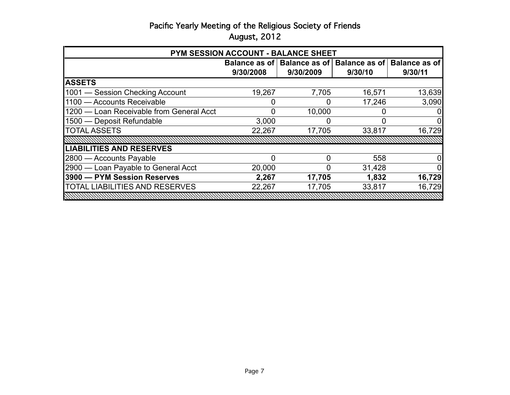| PYM SESSION ACCOUNT - BALANCE SHEET      |           |                               |         |                               |  |  |
|------------------------------------------|-----------|-------------------------------|---------|-------------------------------|--|--|
|                                          |           | Balance as of   Balance as of |         | Balance as of   Balance as of |  |  |
|                                          | 9/30/2008 | 9/30/2009                     | 9/30/10 | 9/30/11                       |  |  |
| <b>ASSETS</b>                            |           |                               |         |                               |  |  |
| 1001 - Session Checking Account          | 19,267    | 7,705                         | 16,571  | 13,639                        |  |  |
| 1100 - Accounts Receivable               |           | 0                             | 17,246  | 3,090                         |  |  |
| 1200 - Loan Receivable from General Acct |           | 10,000                        |         | 01                            |  |  |
| 1500 - Deposit Refundable                | 3,000     | 0                             | O       | $\overline{0}$                |  |  |
| <b>TOTAL ASSETS</b>                      | 22,267    | 17,705                        | 33,817  | 16,729                        |  |  |
|                                          |           |                               |         |                               |  |  |
| <b>LIABILITIES AND RESERVES</b>          |           |                               |         |                               |  |  |
| 2800 - Accounts Payable                  | O         | 0                             | 558     | $\overline{0}$                |  |  |
| 2900 - Loan Payable to General Acct      | 20,000    | 0                             | 31,428  | $\overline{0}$                |  |  |
| 3900 - PYM Session Reserves              | 2,267     | 17,705                        | 1,832   | 16,729                        |  |  |
| <b>TOTAL LIABILITIES AND RESERVES</b>    | 22,267    | 17,705                        | 33,817  | 16,729                        |  |  |
|                                          |           |                               |         |                               |  |  |